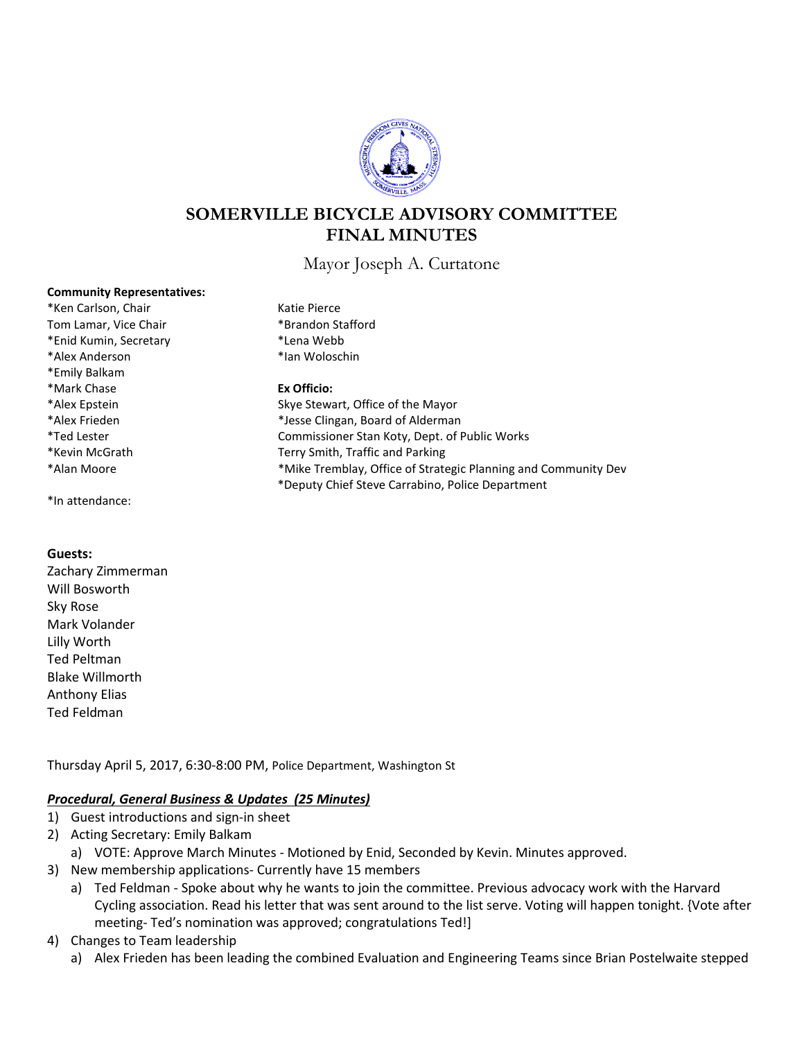

# **SOMERVILLE BICYCLE ADVISORY COMMITTEE FINAL MINUTES**

Mayor Joseph A. Curtatone

### **Community Representatives:**

\*Ken Carlson, Chair Katie Pierce Tom Lamar, Vice Chair **\*Brandon Stafford** \*Enid Kumin, Secretary \*Lena Webb \*Alex Anderson \*Ian Woloschin \*Emily Balkam \*Mark Chase **Ex Officio:**

\*In attendance:

### **Guests:**

Zachary Zimmerman Will Bosworth Sky Rose Mark Volander Lilly Worth Ted Peltman Blake Willmorth Anthony Elias Ted Feldman

Thursday April 5, 2017, 6:30-8:00 PM, Police Department, Washington St

## *Procedural, General Business & Updates (25 Minutes)*

- 1) Guest introductions and sign-in sheet
- 2) Acting Secretary: Emily Balkam
	- a) VOTE: Approve March Minutes Motioned by Enid, Seconded by Kevin. Minutes approved.
- 3) New membership applications- Currently have 15 members
	- a) Ted Feldman Spoke about why he wants to join the committee. Previous advocacy work with the Harvard Cycling association. Read his letter that was sent around to the list serve. Voting will happen tonight. {Vote after meeting- Ted's nomination was approved; congratulations Ted!]
- 4) Changes to Team leadership
	- a) Alex Frieden has been leading the combined Evaluation and Engineering Teams since Brian Postelwaite stepped
- 
- 

\*Alex EpsteinSkye Stewart, Office of the Mayor \*Alex Frieden \*Jesse Clingan, Board of Alderman \*Ted Lester Commissioner Stan Koty, Dept. of Public Works \*Kevin McGrath Terry Smith, Traffic and Parking \*Alan Moore \*Mike Tremblay, Office of Strategic Planning and Community Dev \*Deputy Chief Steve Carrabino, Police Department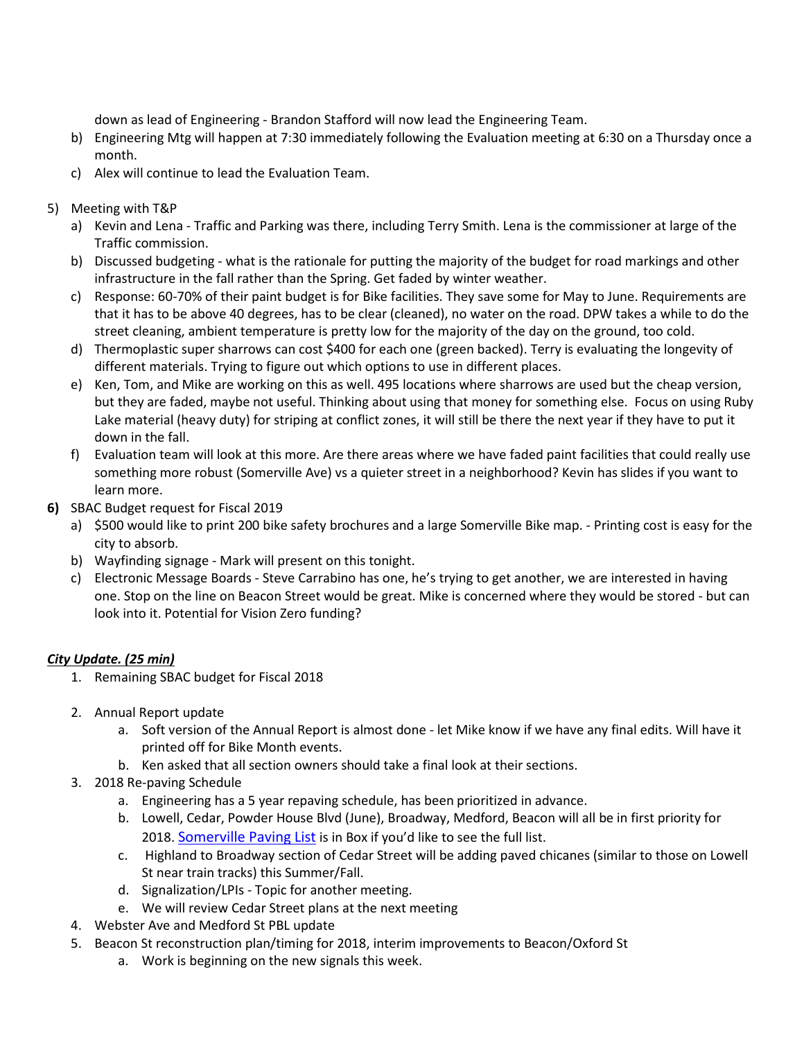down as lead of Engineering - Brandon Stafford will now lead the Engineering Team.

- b) Engineering Mtg will happen at 7:30 immediately following the Evaluation meeting at 6:30 on a Thursday once a month.
- c) Alex will continue to lead the Evaluation Team.
- 5) Meeting with T&P
	- a) Kevin and Lena Traffic and Parking was there, including Terry Smith. Lena is the commissioner at large of the Traffic commission.
	- b) Discussed budgeting what is the rationale for putting the majority of the budget for road markings and other infrastructure in the fall rather than the Spring. Get faded by winter weather.
	- c) Response: 60-70% of their paint budget is for Bike facilities. They save some for May to June. Requirements are that it has to be above 40 degrees, has to be clear (cleaned), no water on the road. DPW takes a while to do the street cleaning, ambient temperature is pretty low for the majority of the day on the ground, too cold.
	- d) Thermoplastic super sharrows can cost \$400 for each one (green backed). Terry is evaluating the longevity of different materials. Trying to figure out which options to use in different places.
	- e) Ken, Tom, and Mike are working on this as well. 495 locations where sharrows are used but the cheap version, but they are faded, maybe not useful. Thinking about using that money for something else. Focus on using Ruby Lake material (heavy duty) for striping at conflict zones, it will still be there the next year if they have to put it down in the fall.
	- f) Evaluation team will look at this more. Are there areas where we have faded paint facilities that could really use something more robust (Somerville Ave) vs a quieter street in a neighborhood? Kevin has slides if you want to learn more.
- **6)** SBAC Budget request for Fiscal 2019
	- a) \$500 would like to print 200 bike safety brochures and a large Somerville Bike map. Printing cost is easy for the city to absorb.
	- b) Wayfinding signage Mark will present on this tonight.
	- c) Electronic Message Boards Steve Carrabino has one, he's trying to get another, we are interested in having one. Stop on the line on Beacon Street would be great. Mike is concerned where they would be stored - but can look into it. Potential for Vision Zero funding?

# *City Update. (25 min)*

- 1. Remaining SBAC budget for Fiscal 2018
- 2. Annual Report update
	- a. Soft version of the Annual Report is almost done let Mike know if we have any final edits. Will have it printed off for Bike Month events.
	- b. Ken asked that all section owners should take a final look at their sections.
- 3. 2018 Re-paving Schedule
	- a. Engineering has a 5 year repaving schedule, has been prioritized in advance.
	- b. Lowell, Cedar, Powder House Blvd (June), Broadway, Medford, Beacon will all be in first priority for 2018[. Somerville Paving List](https://app.box.com/s/esh1me5d118qtzl630349iu726t4hab3) is in Box if you'd like to see the full list.
	- c. Highland to Broadway section of Cedar Street will be adding paved chicanes (similar to those on Lowell St near train tracks) this Summer/Fall.
	- d. Signalization/LPIs Topic for another meeting.
	- e. We will review Cedar Street plans at the next meeting
- 4. Webster Ave and Medford St PBL update
- 5. Beacon St reconstruction plan/timing for 2018, interim improvements to Beacon/Oxford St
	- a. Work is beginning on the new signals this week.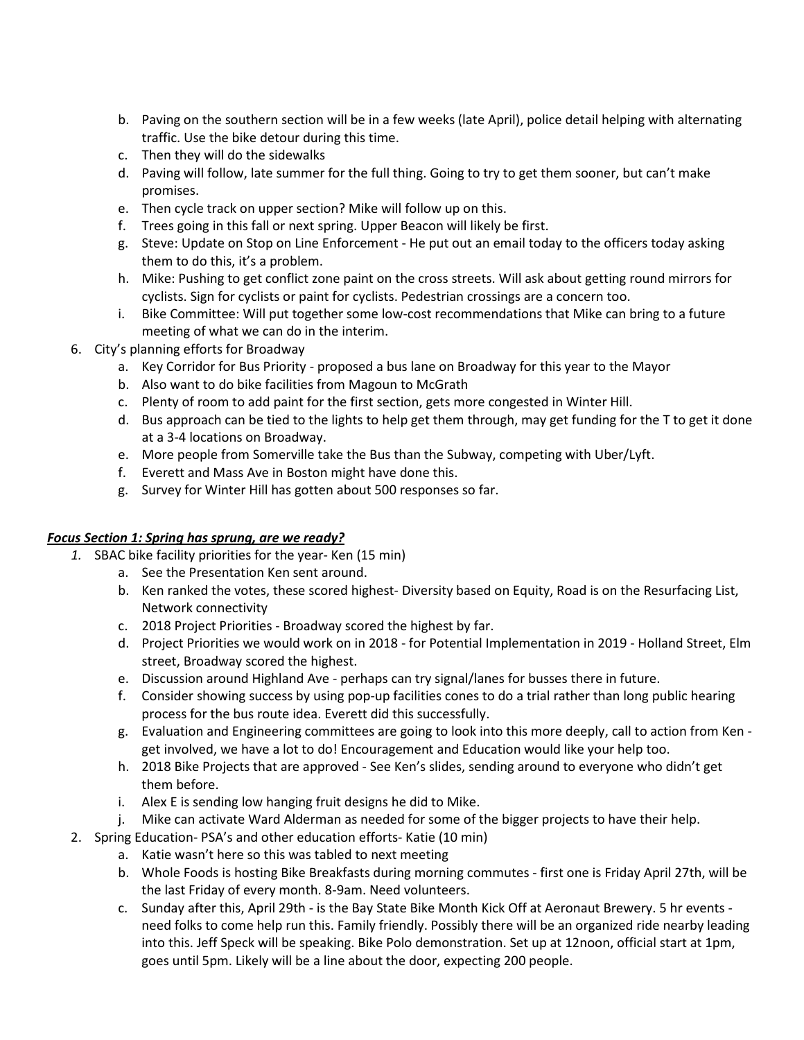- b. Paving on the southern section will be in a few weeks (late April), police detail helping with alternating traffic. Use the bike detour during this time.
- c. Then they will do the sidewalks
- d. Paving will follow, late summer for the full thing. Going to try to get them sooner, but can't make promises.
- e. Then cycle track on upper section? Mike will follow up on this.
- f. Trees going in this fall or next spring. Upper Beacon will likely be first.
- g. Steve: Update on Stop on Line Enforcement He put out an email today to the officers today asking them to do this, it's a problem.
- h. Mike: Pushing to get conflict zone paint on the cross streets. Will ask about getting round mirrors for cyclists. Sign for cyclists or paint for cyclists. Pedestrian crossings are a concern too.
- i. Bike Committee: Will put together some low-cost recommendations that Mike can bring to a future meeting of what we can do in the interim.
- 6. City's planning efforts for Broadway
	- a. Key Corridor for Bus Priority proposed a bus lane on Broadway for this year to the Mayor
	- b. Also want to do bike facilities from Magoun to McGrath
	- c. Plenty of room to add paint for the first section, gets more congested in Winter Hill.
	- d. Bus approach can be tied to the lights to help get them through, may get funding for the T to get it done at a 3-4 locations on Broadway.
	- e. More people from Somerville take the Bus than the Subway, competing with Uber/Lyft.
	- f. Everett and Mass Ave in Boston might have done this.
	- g. Survey for Winter Hill has gotten about 500 responses so far.

## *Focus Section 1: Spring has sprung, are we ready?*

- *1.* SBAC bike facility priorities for the year- Ken (15 min)
	- a. See the Presentation Ken sent around.
	- b. Ken ranked the votes, these scored highest- Diversity based on Equity, Road is on the Resurfacing List, Network connectivity
	- c. 2018 Project Priorities Broadway scored the highest by far.
	- d. Project Priorities we would work on in 2018 for Potential Implementation in 2019 Holland Street, Elm street, Broadway scored the highest.
	- e. Discussion around Highland Ave perhaps can try signal/lanes for busses there in future.
	- f. Consider showing success by using pop-up facilities cones to do a trial rather than long public hearing process for the bus route idea. Everett did this successfully.
	- g. Evaluation and Engineering committees are going to look into this more deeply, call to action from Ken get involved, we have a lot to do! Encouragement and Education would like your help too.
	- h. 2018 Bike Projects that are approved See Ken's slides, sending around to everyone who didn't get them before.
	- i. Alex E is sending low hanging fruit designs he did to Mike.
	- j. Mike can activate Ward Alderman as needed for some of the bigger projects to have their help.
- 2. Spring Education- PSA's and other education efforts- Katie (10 min)
	- a. Katie wasn't here so this was tabled to next meeting
	- b. Whole Foods is hosting Bike Breakfasts during morning commutes first one is Friday April 27th, will be the last Friday of every month. 8-9am. Need volunteers.
	- c. Sunday after this, April 29th is the Bay State Bike Month Kick Off at Aeronaut Brewery. 5 hr events need folks to come help run this. Family friendly. Possibly there will be an organized ride nearby leading into this. Jeff Speck will be speaking. Bike Polo demonstration. Set up at 12noon, official start at 1pm, goes until 5pm. Likely will be a line about the door, expecting 200 people.